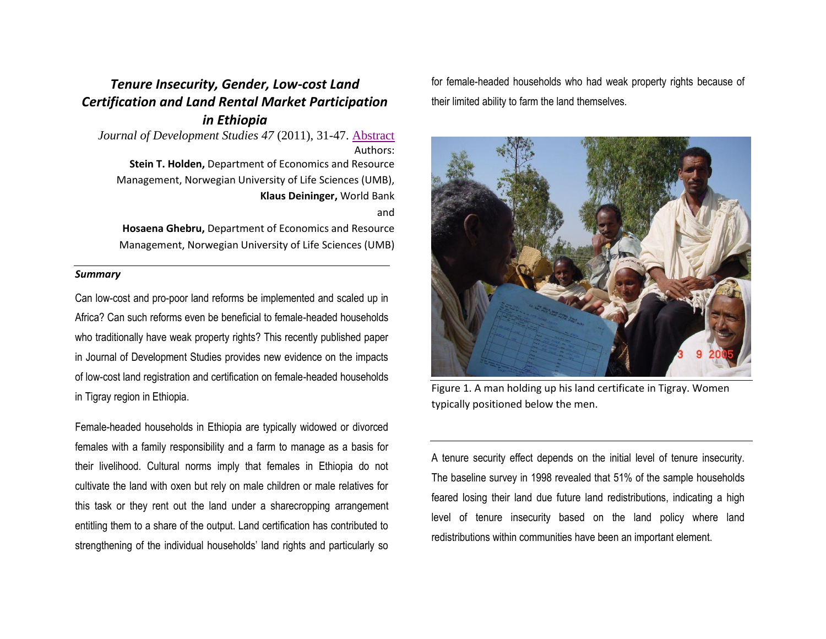## *Tenure Insecurity, Gender, Low-cost Land Certification and Land Rental Market Participation in Ethiopia*

*Journal of Development Studies 47* (2011), 31-47. [Abstract](http://www.ingentaconnect.com/content/routledg/jds/2011/00000047/00000001/art00002) Authors: **Stein T. Holden,** Department of Economics and Resource Management, Norwegian University of Life Sciences (UMB), **Klaus Deininger,** World Bank and

**Hosaena Ghebru,** Department of Economics and Resource Management, Norwegian University of Life Sciences (UMB)

## *Summary*

Can low-cost and pro-poor land reforms be implemented and scaled up in Africa? Can such reforms even be beneficial to female-headed households who traditionally have weak property rights? This recently published paper in Journal of Development Studies provides new evidence on the impacts of low-cost land registration and certification on female-headed households in Tigray region in Ethiopia.

Female-headed households in Ethiopia are typically widowed or divorced females with a family responsibility and a farm to manage as a basis for their livelihood. Cultural norms imply that females in Ethiopia do not cultivate the land with oxen but rely on male children or male relatives for this task or they rent out the land under a sharecropping arrangement entitling them to a share of the output. Land certification has contributed to strengthening of the individual households' land rights and particularly so

for female-headed households who had weak property rights because of their limited ability to farm the land themselves.



Figure 1. A man holding up his land certificate in Tigray. Women typically positioned below the men.

A tenure security effect depends on the initial level of tenure insecurity. The baseline survey in 1998 revealed that 51% of the sample households feared losing their land due future land redistributions, indicating a high level of tenure insecurity based on the land policy where land redistributions within communities have been an important element.